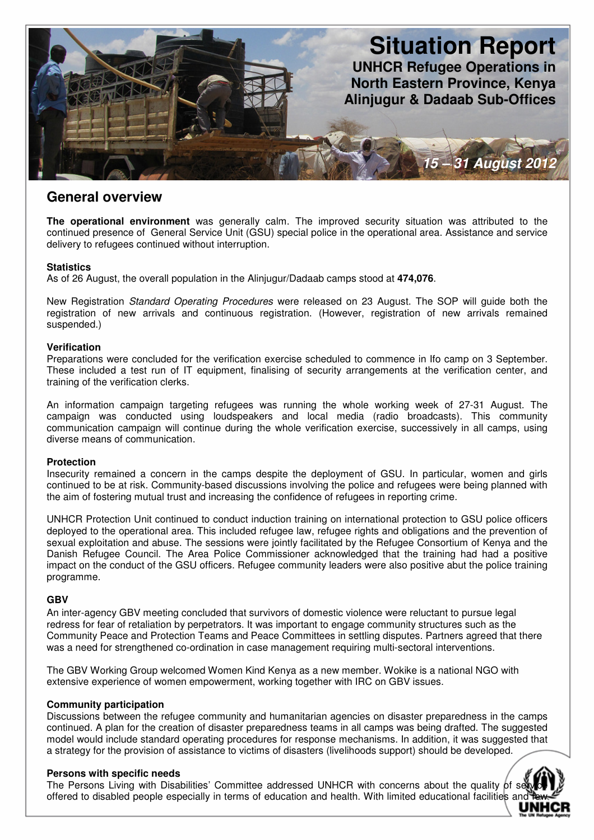

## **General overview**

**The operational environment** was generally calm. The improved security situation was attributed to the continued presence of General Service Unit (GSU) special police in the operational area. Assistance and service delivery to refugees continued without interruption.

## **Statistics**

As of 26 August, the overall population in the Alinjugur/Dadaab camps stood at **474,076**.

New Registration Standard Operating Procedures were released on 23 August. The SOP will guide both the registration of new arrivals and continuous registration. (However, registration of new arrivals remained suspended.)

## **Verification**

Preparations were concluded for the verification exercise scheduled to commence in Ifo camp on 3 September. These included a test run of IT equipment, finalising of security arrangements at the verification center, and training of the verification clerks.

An information campaign targeting refugees was running the whole working week of 27-31 August. The campaign was conducted using loudspeakers and local media (radio broadcasts). This community communication campaign will continue during the whole verification exercise, successively in all camps, using diverse means of communication.

#### **Protection**

Insecurity remained a concern in the camps despite the deployment of GSU. In particular, women and girls continued to be at risk. Community-based discussions involving the police and refugees were being planned with the aim of fostering mutual trust and increasing the confidence of refugees in reporting crime.

UNHCR Protection Unit continued to conduct induction training on international protection to GSU police officers deployed to the operational area. This included refugee law, refugee rights and obligations and the prevention of sexual exploitation and abuse. The sessions were jointly facilitated by the Refugee Consortium of Kenya and the Danish Refugee Council. The Area Police Commissioner acknowledged that the training had had a positive impact on the conduct of the GSU officers. Refugee community leaders were also positive abut the police training programme.

## **GBV**

An inter-agency GBV meeting concluded that survivors of domestic violence were reluctant to pursue legal redress for fear of retaliation by perpetrators. It was important to engage community structures such as the Community Peace and Protection Teams and Peace Committees in settling disputes. Partners agreed that there was a need for strengthened co-ordination in case management requiring multi-sectoral interventions.

The GBV Working Group welcomed Women Kind Kenya as a new member. Wokike is a national NGO with extensive experience of women empowerment, working together with IRC on GBV issues.

## **Community participation**

Discussions between the refugee community and humanitarian agencies on disaster preparedness in the camps continued. A plan for the creation of disaster preparedness teams in all camps was being drafted. The suggested model would include standard operating procedures for response mechanisms. In addition, it was suggested that a strategy for the provision of assistance to victims of disasters (livelihoods support) should be developed.

#### **Persons with specific needs**

The Persons Living with Disabilities' Committee addressed UNHCR with concerns about the quality of service offered to disabled people especially in terms of education and health. With limited educational facilities an

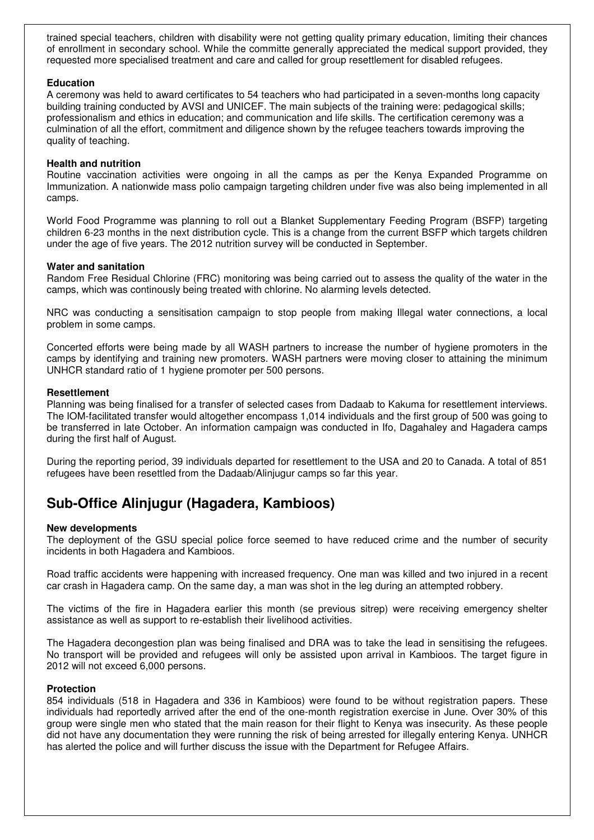trained special teachers, children with disability were not getting quality primary education, limiting their chances of enrollment in secondary school. While the committe generally appreciated the medical support provided, they requested more specialised treatment and care and called for group resettlement for disabled refugees.

## **Education**

A ceremony was held to award certificates to 54 teachers who had participated in a seven-months long capacity building training conducted by AVSI and UNICEF. The main subjects of the training were: pedagogical skills; professionalism and ethics in education; and communication and life skills. The certification ceremony was a culmination of all the effort, commitment and diligence shown by the refugee teachers towards improving the quality of teaching.

## **Health and nutrition**

Routine vaccination activities were ongoing in all the camps as per the Kenya Expanded Programme on Immunization. A nationwide mass polio campaign targeting children under five was also being implemented in all camps.

World Food Programme was planning to roll out a Blanket Supplementary Feeding Program (BSFP) targeting children 6-23 months in the next distribution cycle. This is a change from the current BSFP which targets children under the age of five years. The 2012 nutrition survey will be conducted in September.

#### **Water and sanitation**

Random Free Residual Chlorine (FRC) monitoring was being carried out to assess the quality of the water in the camps, which was continously being treated with chlorine. No alarming levels detected.

NRC was conducting a sensitisation campaign to stop people from making Illegal water connections, a local problem in some camps.

Concerted efforts were being made by all WASH partners to increase the number of hygiene promoters in the camps by identifying and training new promoters. WASH partners were moving closer to attaining the minimum UNHCR standard ratio of 1 hygiene promoter per 500 persons.

#### **Resettlement**

Planning was being finalised for a transfer of selected cases from Dadaab to Kakuma for resettlement interviews. The IOM-facilitated transfer would altogether encompass 1,014 individuals and the first group of 500 was going to be transferred in late October. An information campaign was conducted in Ifo, Dagahaley and Hagadera camps during the first half of August.

During the reporting period, 39 individuals departed for resettlement to the USA and 20 to Canada. A total of 851 refugees have been resettled from the Dadaab/Alinjugur camps so far this year.

# **Sub-Office Alinjugur (Hagadera, Kambioos)**

#### **New developments**

The deployment of the GSU special police force seemed to have reduced crime and the number of security incidents in both Hagadera and Kambioos.

Road traffic accidents were happening with increased frequency. One man was killed and two injured in a recent car crash in Hagadera camp. On the same day, a man was shot in the leg during an attempted robbery.

The victims of the fire in Hagadera earlier this month (se previous sitrep) were receiving emergency shelter assistance as well as support to re-establish their livelihood activities.

The Hagadera decongestion plan was being finalised and DRA was to take the lead in sensitising the refugees. No transport will be provided and refugees will only be assisted upon arrival in Kambioos. The target figure in 2012 will not exceed 6,000 persons.

#### **Protection**

854 individuals (518 in Hagadera and 336 in Kambioos) were found to be without registration papers. These individuals had reportedly arrived after the end of the one-month registration exercise in June. Over 30% of this group were single men who stated that the main reason for their flight to Kenya was insecurity. As these people did not have any documentation they were running the risk of being arrested for illegally entering Kenya. UNHCR has alerted the police and will further discuss the issue with the Department for Refugee Affairs.